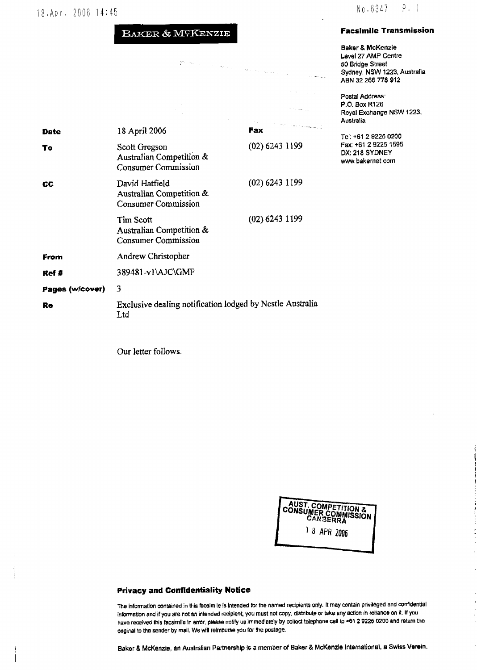# 18. Apr. 2006 14:45 No. 6347 P. 1

## BAKER & MCKENZIE

 $\widetilde{\mathcal{E}}$  $\langle \phi_{\rm{min}} \rangle_{\rm{max}}$   $\epsilon$  ,  $\omega_{\rm{max}}$ 

 $\langle \hat{u}_\mathrm{F} \rangle_{\mathrm{C}^2(\mathbb{R}^2)}$ 

### Faoslmlle Transmission

Baker & McKenzie Level 27 AMP Centre 50 Bridge Street Sydney. NSW 1223. Australia ABN 32 266 778 912

Postal Address' P.O. Box R126 Royal Exchange NSW 1223, Australia

Tel; +61 2 9225 02Q1 Fax: +61 2 9225 1595 DX: 218 SYDNEY www.bakernet.com

| Date            | 18 April 2006                                                            | the company of the company of the company of<br>Fax |
|-----------------|--------------------------------------------------------------------------|-----------------------------------------------------|
| To              | Scott Gregson<br>Australian Competition &<br><b>Consumer Commission</b>  | $(02)$ 6243 1199                                    |
| CС              | David Hatfield<br>Australian Competition &<br><b>Consumer Commission</b> | $(02)$ 6243 1199                                    |
|                 | Tim Scott<br>Australian Competition &<br>Consumer Commission             | $(02)$ 6243 1199                                    |
| From            | Andrew Christopher                                                       |                                                     |
| Ref #           | 389481-v1\AJC\GMF                                                        |                                                     |
| Pages (w/cover) | 3                                                                        |                                                     |
| Re              | Exclusive dealing notification lodged by Nestle Australia<br>Ltd         |                                                     |

Our letter follows.



#### Privacy and Confidentiality Notice

The information contained in this facsimile is intended for the named recipients only, it may contain privileged and confidential information and if you are not an intended recipient, you must not copy, distribute or take any action in reliance on it. If you have received this facsimile in error, please notify us immediately by collect telephone call to +61 2 9226 0200 and return the original to the sender by mail. We will relmburse you for the postage.

Baker & McKenzie, an Australian Partnership is a member of Baker & McKenzle International, a Swiss Verein.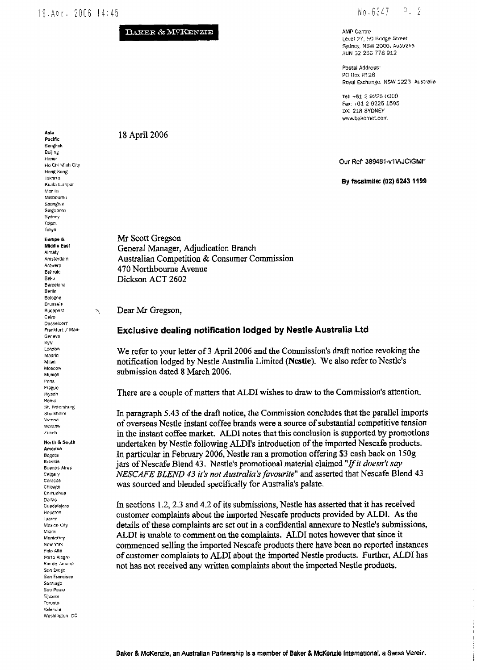#### $18.Apr. 2006 14:45$

#### BAKER & MOKENZIE

#### P. 2 No.6347

AMP Centre Level 27, 50 Bridge Street Sydney, NSW 2000. Australia ABN 32 266 778 912

Postal Address: PC Rox R126 Royal Exchange, NSW 1223 Australia

Tel: +61-2-9225-0200 Fax: +61-2-9225-1595 DX: 218 SYDNEY www.bakemet.com

Our Ref: 389481-v1VAJC\GMF

By facsimile: (02) 6243 1199

 $\mathbf{i}$ 

 $\frac{1}{2}$ 

18 April 2006

Mr Scott Gregson General Manager, Adjudication Branch Australian Competition & Consumer Commission 470 Northbourne Avenue Dickson ACT 2602

Dear Mr Gregson,

#### Exclusive dealing notification lodged by Nestle Australia Ltd

We refer to your letter of 3 April 2006 and the Commission's draft notice revoking the notification lodged by Nestle Australia Limited (Nestle). We also refer to Nestle's submission dated 8 March 2006.

There are a couple of matters that ALDI wishes to draw to the Commission's attention.

In paragraph 5.43 of the draft notice, the Commission concludes that the parallel imports of overseas Nestle instant coffee brands were a source of substantial competitive tension in the instant coffee market. ALDI notes that this conclusion is supported by promotions undertaken by Nestle following ALDI's introduction of the imported Nescafe products. In particular in February 2006, Nestle ran a promotion offering \$3 cash back on 150g jars of Nescafe Blend 43. Nestle's promotional material claimed "If it doesn't say NESCAFE BLEND 43 it's not Australia's favourite" and asserted that Nescafe Blend 43 was sourced and blended specifically for Australia's palate.

In sections 1.2, 2.3 and 4.2 of its submissions, Nestle has asserted that it has received customer complaints about the imported Nescafe products provided by ALDI. As the details of these complaints are set out in a confidential annexure to Nestle's submissions, ALDI is unable to comment on the complaints. ALDI notes however that since it commenced selling the imported Nescafe products there have been no reported instances of customer complaints to ALDI about the imported Nestle products. Further, ALDI has not has not received any written complaints about the imported Nestle products.

Bangkok Beijing Hanoi Ho Chi Minh City Hang Kong **Internets** Kuala turnour Manila Melbourne Shanghai Singupore Sydney  $\rm{time}$ Takyo Europe & Middle East Almaty Amsterdam Antwerp **Bahrain Retur** Barcelona Berlin Bologna **Brussels** Budapest Cairo Dusseldorf Frankfurt / Main Geneva **Kyly** London Madrid Milan Moscow Munteh Paris Prague Rivadh Romo St. Petersburg Stockholm Vienna Marsow Zunch

Ñ

Asia

Pacific

North & South America Bogota **Bresilia** Buenos Aires Calgary Caracas Chicago Chihuahua Dallas Guadalara Houston Juarez Mexico City Miami Monterrey New York Palo Alto Porto Alegre Rio de Janeiro .<br>San Diego San Francisco Santiago Sao Paulo Tijuana Toronto Valencia Washington, DC